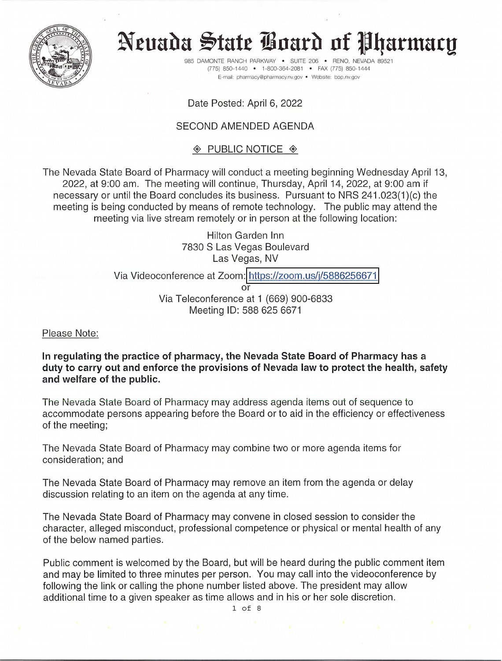

# Neuada State Board of Pharmacy

985 DAMONTE RANCH PARKWAY SUITE 206 . RENO, NEVADA 89521 (775) 850-1440 · 1-800-364-2081 · FAX (775) 850-1444 E-mail: pharmacy@pharmacy.nv.gov · Website: bop.nv.gov

Date Posted: April 6, 2022

# **SECOND AMENDED AGENDA**

# $\textcircled{*}$  PUBLIC NOTICE  $\textcircled{*}$

The Nevada State Board of Pharmacy will conduct a meeting beginning Wednesday April 13, 2022, at 9:00 am. The meeting will continue, Thursday, April 14, 2022, at 9:00 am if necessary or until the Board concludes its business. Pursuant to NRS 241.023(1)(c) the meeting is being conducted by means of remote technology. The public may attend the meeting via live stream remotely or in person at the following location:

> **Hilton Garden Inn** 7830 S Las Vegas Boulevard Las Vegas, NV

## Via Videoconference at Zoom: https://zoom.us/j/5886256671

or

Via Teleconference at 1 (669) 900-6833 Meeting ID: 588 625 6671

Please Note:

In regulating the practice of pharmacy, the Nevada State Board of Pharmacy has a duty to carry out and enforce the provisions of Nevada law to protect the health, safety and welfare of the public.

The Nevada State Board of Pharmacy may address agenda items out of sequence to accommodate persons appearing before the Board or to aid in the efficiency or effectiveness of the meeting;

The Nevada State Board of Pharmacy may combine two or more agenda items for consideration; and

The Nevada State Board of Pharmacy may remove an item from the agenda or delay discussion relating to an item on the agenda at any time.

The Nevada State Board of Pharmacy may convene in closed session to consider the character, alleged misconduct, professional competence or physical or mental health of any of the below named parties.

Public comment is welcomed by the Board, but will be heard during the public comment item and may be limited to three minutes per person. You may call into the videoconference by following the link or calling the phone number listed above. The president may allow additional time to a given speaker as time allows and in his or her sole discretion.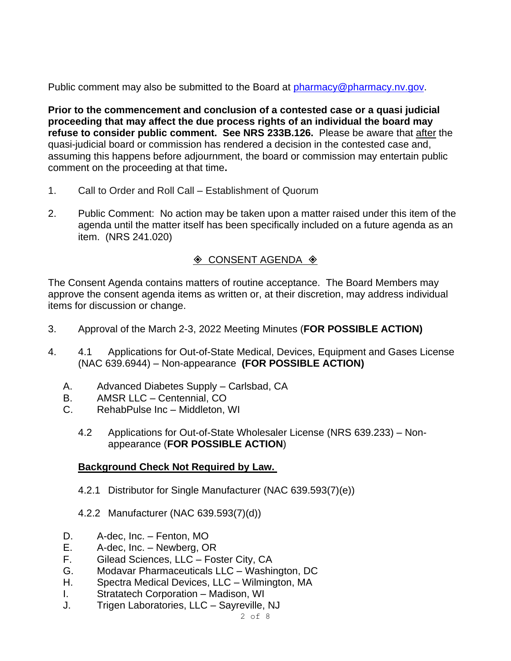Public comment may also be submitted to the Board at [pharmacy@pharmacy.nv.gov.](mailto:pharmacy@pharmacy.nv.gov)

**Prior to the commencement and conclusion of a contested case or a quasi judicial proceeding that may affect the due process rights of an individual the board may refuse to consider public comment. See NRS 233B.126.** Please be aware that after the quasi-judicial board or commission has rendered a decision in the contested case and, assuming this happens before adjournment, the board or commission may entertain public comment on the proceeding at that time**.**

- 1. Call to Order and Roll Call Establishment of Quorum
- 2. Public Comment: No action may be taken upon a matter raised under this item of the agenda until the matter itself has been specifically included on a future agenda as an item. (NRS 241.020)

# $\Diamond$  CONSENT AGENDA  $\Diamond$

The Consent Agenda contains matters of routine acceptance. The Board Members may approve the consent agenda items as written or, at their discretion, may address individual items for discussion or change.

- 3. Approval of the March 2-3, 2022 Meeting Minutes (**FOR POSSIBLE ACTION)**
- 4. 4.1 Applications for Out-of-State Medical, Devices, Equipment and Gases License (NAC 639.6944) – Non-appearance **(FOR POSSIBLE ACTION)**
	- A. Advanced Diabetes Supply Carlsbad, CA
	- B. AMSR LLC Centennial, CO
	- C. RehabPulse Inc Middleton, WI
		- 4.2 Applications for Out-of-State Wholesaler License (NRS 639.233) Nonappearance (**FOR POSSIBLE ACTION**)

# **Background Check Not Required by Law.**

- 4.2.1 Distributor for Single Manufacturer (NAC 639.593(7)(e))
- 4.2.2 Manufacturer (NAC 639.593(7)(d))
- D. A-dec, Inc. Fenton, MO
- E. A-dec, Inc. Newberg, OR
- F. Gilead Sciences, LLC Foster City, CA
- G. Modavar Pharmaceuticals LLC Washington, DC
- H. Spectra Medical Devices, LLC Wilmington, MA
- I. Stratatech Corporation Madison, WI
- J. Trigen Laboratories, LLC Sayreville, NJ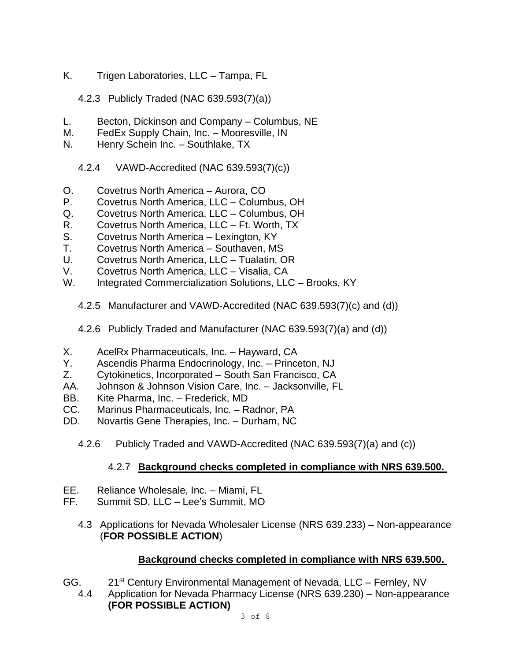- K. Trigen Laboratories, LLC Tampa, FL
	- 4.2.3 Publicly Traded (NAC 639.593(7)(a))
- L. Becton, Dickinson and Company Columbus, NE
- M. FedEx Supply Chain, Inc. Mooresville, IN
- N. Henry Schein Inc. Southlake, TX
	- 4.2.4 VAWD-Accredited (NAC 639.593(7)(c))
- O. Covetrus North America Aurora, CO
- P. Covetrus North America, LLC Columbus, OH
- Q. Covetrus North America, LLC Columbus, OH
- R. Covetrus North America, LLC Ft. Worth, TX
- S. Covetrus North America Lexington, KY
- T. Covetrus North America Southaven, MS
- U. Covetrus North America, LLC Tualatin, OR
- V. Covetrus North America, LLC Visalia, CA
- W. Integrated Commercialization Solutions, LLC Brooks, KY
	- 4.2.5 Manufacturer and VAWD-Accredited (NAC 639.593(7)(c) and (d))
	- 4.2.6 Publicly Traded and Manufacturer (NAC 639.593(7)(a) and (d))
- X. AcelRx Pharmaceuticals, Inc. Hayward, CA
- Y. Ascendis Pharma Endocrinology, Inc. Princeton, NJ
- Z. Cytokinetics, Incorporated South San Francisco, CA
- AA. Johnson & Johnson Vision Care, Inc. Jacksonville, FL
- BB. Kite Pharma, Inc. Frederick, MD
- CC. Marinus Pharmaceuticals, Inc. Radnor, PA
- DD. Novartis Gene Therapies, Inc. Durham, NC
	- 4.2.6 Publicly Traded and VAWD-Accredited (NAC 639.593(7)(a) and (c))

# 4.2.7 **Background checks completed in compliance with NRS 639.500.**

- EE. Reliance Wholesale, Inc. Miami, FL
- FF. Summit SD, LLC Lee's Summit, MO
	- 4.3 Applications for Nevada Wholesaler License (NRS 639.233) Non-appearance (**FOR POSSIBLE ACTION**)

# **Background checks completed in compliance with NRS 639.500.**

- GG. 21st Century Environmental Management of Nevada, LLC Fernley, NV
	- 4.4 Application for Nevada Pharmacy License (NRS 639.230) Non-appearance **(FOR POSSIBLE ACTION)**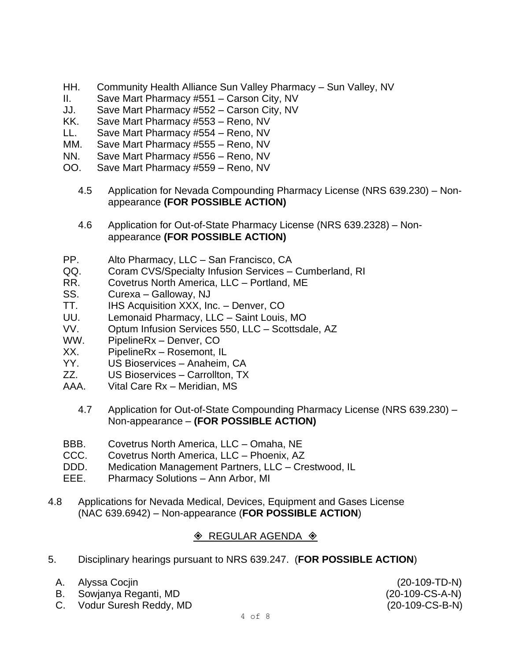- HH. Community Health Alliance Sun Valley Pharmacy Sun Valley, NV
- II. Save Mart Pharmacy #551 Carson City, NV
- JJ. Save Mart Pharmacy #552 Carson City, NV
- KK. Save Mart Pharmacy #553 Reno, NV
- LL. Save Mart Pharmacy #554 Reno, NV
- MM. Save Mart Pharmacy #555 Reno, NV
- NN. Save Mart Pharmacy #556 Reno, NV
- OO. Save Mart Pharmacy #559 Reno, NV
	- 4.5 Application for Nevada Compounding Pharmacy License (NRS 639.230) Nonappearance **(FOR POSSIBLE ACTION)**
	- 4.6 Application for Out-of-State Pharmacy License (NRS 639.2328) Nonappearance **(FOR POSSIBLE ACTION)**
- PP. Alto Pharmacy, LLC San Francisco, CA
- QQ. Coram CVS/Specialty Infusion Services Cumberland, RI
- RR. Covetrus North America, LLC Portland, ME
- SS. Curexa Galloway, NJ
- TT. IHS Acquisition XXX, Inc. Denver, CO
- UU. Lemonaid Pharmacy, LLC Saint Louis, MO
- VV. Optum Infusion Services 550, LLC Scottsdale, AZ
- WW. PipelineRx Denver, CO
- XX. PipelineRx Rosemont, IL
- YY. US Bioservices Anaheim, CA
- ZZ. US Bioservices Carrollton, TX
- AAA. Vital Care Rx Meridian, MS
	- 4.7 Application for Out-of-State Compounding Pharmacy License (NRS 639.230) Non-appearance – **(FOR POSSIBLE ACTION)**
- BBB. Covetrus North America, LLC Omaha, NE
- CCC. Covetrus North America, LLC Phoenix, AZ
- DDD. Medication Management Partners, LLC Crestwood, IL
- EEE. Pharmacy Solutions Ann Arbor, MI
- 4.8 Applications for Nevada Medical, Devices, Equipment and Gases License (NAC 639.6942) – Non-appearance (**FOR POSSIBLE ACTION**)

# $\Diamond$  REGULAR AGENDA  $\Diamond$

- 5. Disciplinary hearings pursuant to NRS 639.247. (**FOR POSSIBLE ACTION**)
	- A. Alyssa Cocjin (20-109-TD-N)
	- B. Sowjanya Reganti, MD (20-109-CS-A-N)
	- C. Vodur Suresh Reddy, MD (20-109-CS-B-N)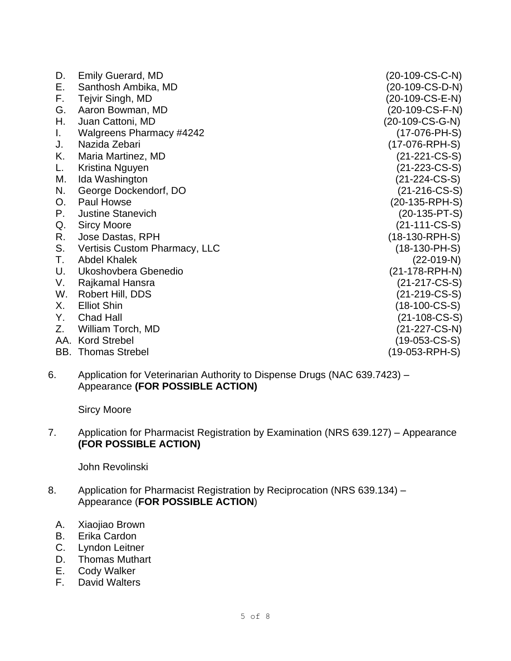| D.  | <b>Emily Guerard, MD</b>        | (20-109-CS-C-N)  |
|-----|---------------------------------|------------------|
| Е.  | Santhosh Ambika, MD             | (20-109-CS-D-N)  |
| F.  | Tejvir Singh, MD                | (20-109-CS-E-N)  |
| G.  | Aaron Bowman, MD                | (20-109-CS-F-N)  |
| Η.  | Juan Cattoni, MD                | (20-109-CS-G-N)  |
| L.  | <b>Walgreens Pharmacy #4242</b> | $(17-076-PH-S)$  |
| J.  | Nazida Zebari                   | (17-076-RPH-S)   |
| Κ.  | Maria Martinez, MD              | (21-221-CS-S)    |
| L.  | Kristina Nguyen                 | (21-223-CS-S)    |
| M.  | Ida Washington                  | $(21-224-CS-S)$  |
| N.  | George Dockendorf, DO           | $(21-216$ -CS-S) |
| O.  | Paul Howse                      | (20-135-RPH-S)   |
| Р.  | <b>Justine Stanevich</b>        | $(20-135-PT-S)$  |
| Q.  | <b>Sircy Moore</b>              | $(21-111-CS-S)$  |
| R.  | Jose Dastas, RPH                | $(18-130-RPH-S)$ |
| S.  | Vertisis Custom Pharmacy, LLC   | $(18-130-PH-S)$  |
| Т.  | <b>Abdel Khalek</b>             | $(22-019-N)$     |
| U.  | Ukoshovbera Gbenedio            | (21-178-RPH-N)   |
| V.  | Rajkamal Hansra                 | $(21-217-CS-S)$  |
| W.  | Robert Hill, DDS                | (21-219-CS-S)    |
| Х.  | <b>Elliot Shin</b>              | $(18-100$ -CS-S) |
| Υ.  | <b>Chad Hall</b>                | (21-108-CS-S)    |
| Z.  | William Torch, MD               | (21-227-CS-N)    |
| AA. | <b>Kord Strebel</b>             | $(19-053-CS-S)$  |
|     | <b>BB.</b> Thomas Strebel       | (19-053-RPH-S)   |

6. Application for Veterinarian Authority to Dispense Drugs (NAC 639.7423) – Appearance **(FOR POSSIBLE ACTION)**

Sircy Moore

## 7. Application for Pharmacist Registration by Examination (NRS 639.127) – Appearance **(FOR POSSIBLE ACTION)**

John Revolinski

#### 8. Application for Pharmacist Registration by Reciprocation (NRS 639.134) -Appearance (**FOR POSSIBLE ACTION**)

- A. Xiaojiao Brown
- B. Erika Cardon
- C. Lyndon Leitner
- D. Thomas Muthart
- E. Cody Walker
- F. David Walters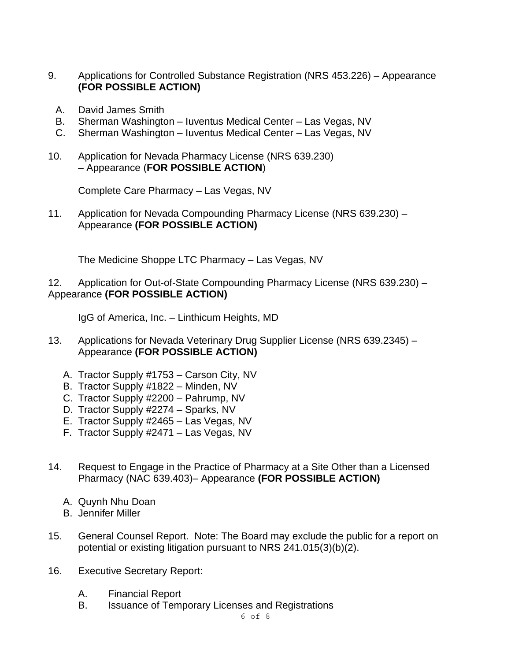- 9. Applications for Controlled Substance Registration (NRS 453.226) Appearance **(FOR POSSIBLE ACTION)**
	- A. David James Smith
	- B. Sherman Washington Iuventus Medical Center Las Vegas, NV
	- C. Sherman Washington Iuventus Medical Center Las Vegas, NV
- 10. Application for Nevada Pharmacy License (NRS 639.230) – Appearance (**FOR POSSIBLE ACTION**)

Complete Care Pharmacy – Las Vegas, NV

11. Application for Nevada Compounding Pharmacy License (NRS 639.230) – Appearance **(FOR POSSIBLE ACTION)**

The Medicine Shoppe LTC Pharmacy – Las Vegas, NV

### 12. Application for Out-of-State Compounding Pharmacy License (NRS 639.230) – Appearance **(FOR POSSIBLE ACTION)**

IgG of America, Inc. – Linthicum Heights, MD

- 13. Applications for Nevada Veterinary Drug Supplier License (NRS 639.2345) Appearance **(FOR POSSIBLE ACTION)**
	- A. Tractor Supply #1753 Carson City, NV
	- B. Tractor Supply #1822 Minden, NV
	- C. Tractor Supply #2200 Pahrump, NV
	- D. Tractor Supply #2274 Sparks, NV
	- E. Tractor Supply #2465 Las Vegas, NV
	- F. Tractor Supply #2471 Las Vegas, NV
- 14. Request to Engage in the Practice of Pharmacy at a Site Other than a Licensed Pharmacy (NAC 639.403)– Appearance **(FOR POSSIBLE ACTION)**
	- A. Quynh Nhu Doan
	- B. Jennifer Miller
- 15. General Counsel Report. Note: The Board may exclude the public for a report on potential or existing litigation pursuant to NRS 241.015(3)(b)(2).
- 16. Executive Secretary Report:
	- A. Financial Report
	- B. Issuance of Temporary Licenses and Registrations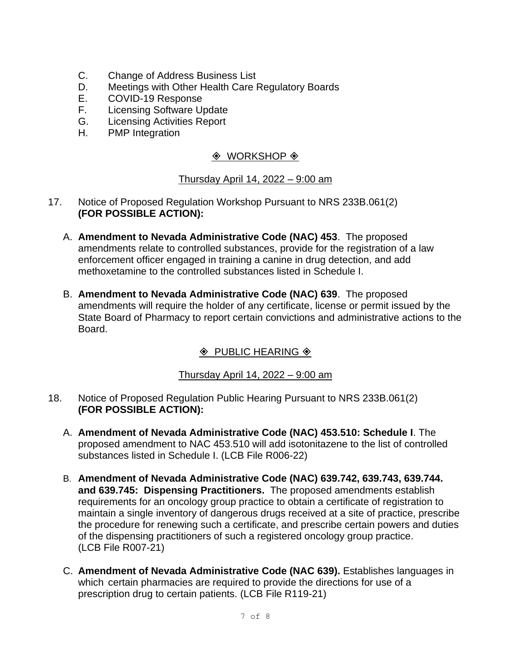- C. Change of Address Business List
- D. Meetings with Other Health Care Regulatory Boards
- E. COVID-19 Response
- F. Licensing Software Update
- G. Licensing Activities Report
- H. PMP Integration

# $\Diamond$  WORKSHOP  $\Diamond$

#### Thursday April 14, 2022 – 9:00 am

- 17. Notice of Proposed Regulation Workshop Pursuant to NRS 233B.061(2) **(FOR POSSIBLE ACTION):**
	- A. **Amendment to Nevada Administrative Code (NAC) 453**. The proposed amendments relate to controlled substances, provide for the registration of a law enforcement officer engaged in training a canine in drug detection, and add methoxetamine to the controlled substances listed in Schedule I.
	- B. **Amendment to Nevada Administrative Code (NAC) 639**. The proposed amendments will require the holder of any certificate, license or permit issued by the State Board of Pharmacy to report certain convictions and administrative actions to the Board.

# $\Diamond$  PUBLIC HEARING  $\Diamond$

#### Thursday April 14, 2022 – 9:00 am

- 18. Notice of Proposed Regulation Public Hearing Pursuant to NRS 233B.061(2) **(FOR POSSIBLE ACTION):**
	- A. **Amendment of Nevada Administrative Code (NAC) 453.510: Schedule I**. The proposed amendment to NAC 453.510 will add isotonitazene to the list of controlled substances listed in Schedule I. (LCB File R006-22)
	- B. **Amendment of Nevada Administrative Code (NAC) 639.742, 639.743, 639.744. and 639.745: Dispensing Practitioners.** The proposed amendments establish requirements for an oncology group practice to obtain a certificate of registration to maintain a single inventory of dangerous drugs received at a site of practice, prescribe the procedure for renewing such a certificate, and prescribe certain powers and duties of the dispensing practitioners of such a registered oncology group practice. (LCB File R007-21)
	- C. **Amendment of Nevada Administrative Code (NAC 639).** Establishes languages in which certain pharmacies are required to provide the directions for use of a prescription drug to certain patients. (LCB File R119-21)